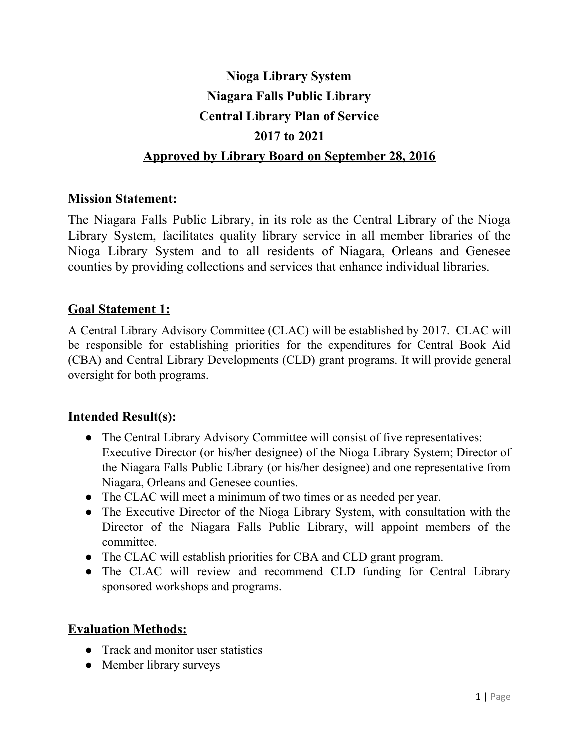# **Nioga Library System Niagara Falls Public Library Central Library Plan of Service 2017 to 2021 Approved by Library Board on September 28, 2016**

## **Mission Statement:**

The Niagara Falls Public Library, in its role as the Central Library of the Nioga Library System, facilitates quality library service in all member libraries of the Nioga Library System and to all residents of Niagara, Orleans and Genesee counties by providing collections and services that enhance individual libraries.

#### **Goal Statement 1:**

A Central Library Advisory Committee (CLAC) will be established by 2017. CLAC will be responsible for establishing priorities for the expenditures for Central Book Aid (CBA) and Central Library Developments (CLD) grant programs. It will provide general oversight for both programs.

#### **Intended Result(s):**

- The Central Library Advisory Committee will consist of five representatives: Executive Director (or his/her designee) of the Nioga Library System; Director of the Niagara Falls Public Library (or his/her designee) and one representative from Niagara, Orleans and Genesee counties.
- The CLAC will meet a minimum of two times or as needed per year.
- The Executive Director of the Nioga Library System, with consultation with the Director of the Niagara Falls Public Library, will appoint members of the committee.
- The CLAC will establish priorities for CBA and CLD grant program.
- The CLAC will review and recommend CLD funding for Central Library sponsored workshops and programs.

#### **Evaluation Methods:**

- Track and monitor user statistics
- Member library surveys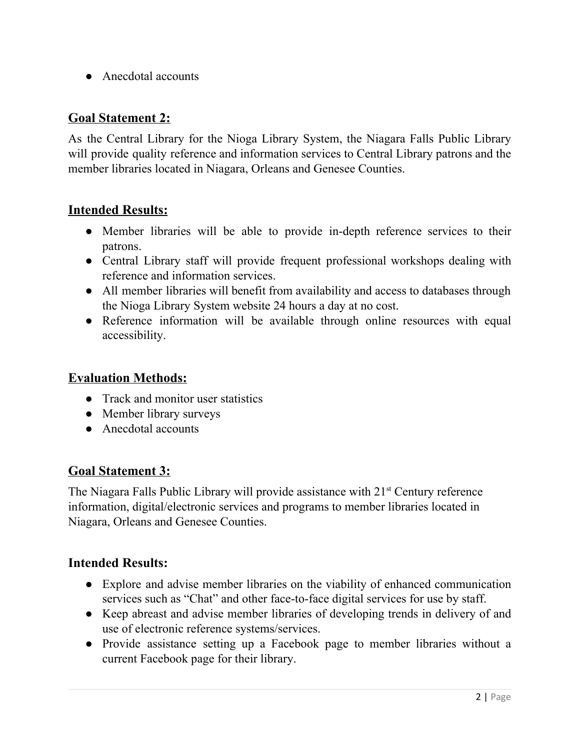● Anecdotal accounts

### **Goal Statement 2:**

As the Central Library for the Nioga Library System, the Niagara Falls Public Library will provide quality reference and information services to Central Library patrons and the member libraries located in Niagara, Orleans and Genesee Counties.

#### **Intended Results:**

- Member libraries will be able to provide in-depth reference services to their patrons.
- Central Library staff will provide frequent professional workshops dealing with reference and information services.
- All member libraries will benefit from availability and access to databases through the Nioga Library System website 24 hours a day at no cost.
- Reference information will be available through online resources with equal accessibility.

#### **Evaluation Methods:**

- Track and monitor user statistics
- Member library surveys
- Anecdotal accounts

#### **Goal Statement 3:**

The Niagara Falls Public Library will provide assistance with 21<sup>st</sup> Century reference information, digital/electronic services and programs to member libraries located in Niagara, Orleans and Genesee Counties.

#### **Intended Results:**

- Explore and advise member libraries on the viability of enhanced communication services such as "Chat" and other face-to-face digital services for use by staff.
- Keep abreast and advise member libraries of developing trends in delivery of and use of electronic reference systems/services.
- Provide assistance setting up a Facebook page to member libraries without a current Facebook page for their library.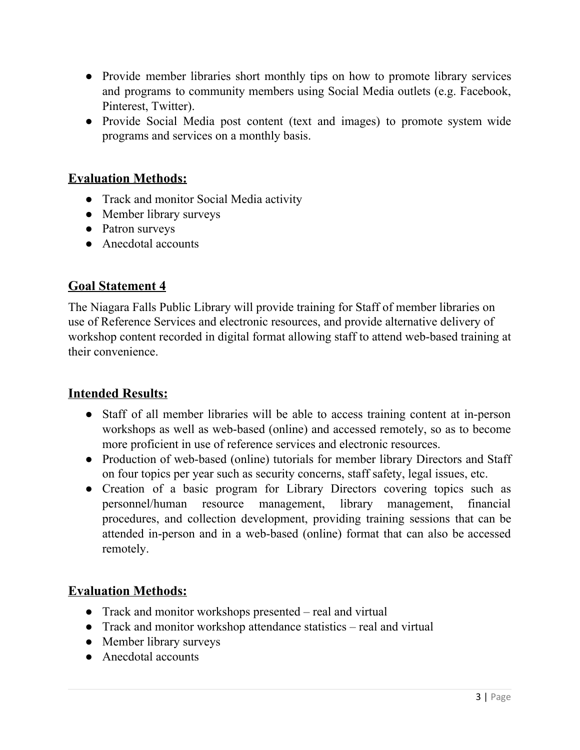- Provide member libraries short monthly tips on how to promote library services and programs to community members using Social Media outlets (e.g. Facebook, Pinterest, Twitter).
- Provide Social Media post content (text and images) to promote system wide programs and services on a monthly basis.

## **Evaluation Methods:**

- Track and monitor Social Media activity
- Member library surveys
- Patron surveys
- Anecdotal accounts

## **Goal Statement 4**

The Niagara Falls Public Library will provide training for Staff of member libraries on use of Reference Services and electronic resources, and provide alternative delivery of workshop content recorded in digital format allowing staff to attend web-based training at their convenience.

#### **Intended Results:**

- Staff of all member libraries will be able to access training content at in-person workshops as well as web-based (online) and accessed remotely, so as to become more proficient in use of reference services and electronic resources.
- Production of web-based (online) tutorials for member library Directors and Staff on four topics per year such as security concerns, staff safety, legal issues, etc.
- Creation of a basic program for Library Directors covering topics such as personnel/human resource management, library management, financial procedures, and collection development, providing training sessions that can be attended in-person and in a web-based (online) format that can also be accessed remotely.

## **Evaluation Methods:**

- Track and monitor workshops presented real and virtual
- Track and monitor workshop attendance statistics real and virtual
- Member library surveys
- Anecdotal accounts